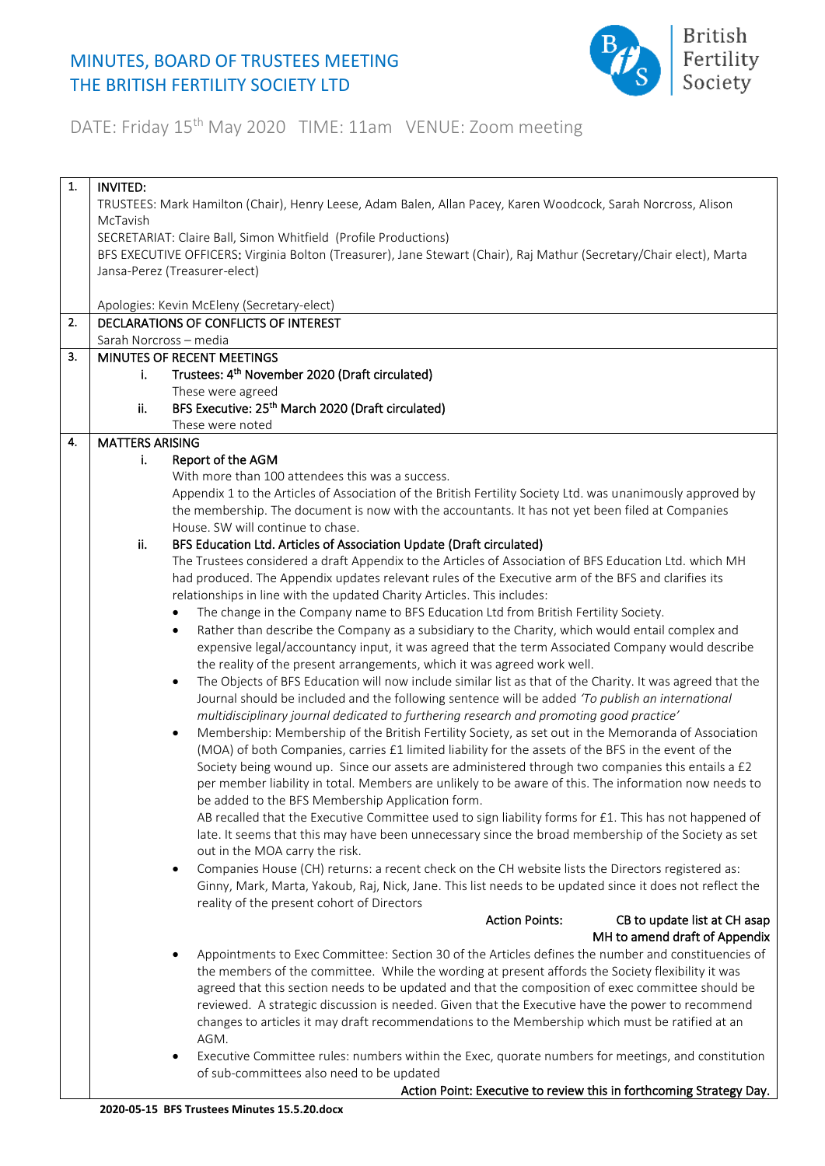## MINUTES, BOARD OF TRUSTEES MEETING THE BRITISH FERTILITY SOCIETY LTD



## DATE: Friday 15<sup>th</sup> May 2020 TIME: 11am VENUE: Zoom meeting

| 1. | <b>INVITED:</b>                                                                                               |                                                                                                                        |  |
|----|---------------------------------------------------------------------------------------------------------------|------------------------------------------------------------------------------------------------------------------------|--|
|    | TRUSTEES: Mark Hamilton (Chair), Henry Leese, Adam Balen, Allan Pacey, Karen Woodcock, Sarah Norcross, Alison |                                                                                                                        |  |
|    | McTavish                                                                                                      |                                                                                                                        |  |
|    |                                                                                                               | SECRETARIAT: Claire Ball, Simon Whitfield (Profile Productions)                                                        |  |
|    |                                                                                                               | BFS EXECUTIVE OFFICERS: Virginia Bolton (Treasurer), Jane Stewart (Chair), Raj Mathur (Secretary/Chair elect), Marta   |  |
|    |                                                                                                               | Jansa-Perez (Treasurer-elect)                                                                                          |  |
|    |                                                                                                               |                                                                                                                        |  |
|    |                                                                                                               | Apologies: Kevin McEleny (Secretary-elect)                                                                             |  |
| 2. |                                                                                                               | DECLARATIONS OF CONFLICTS OF INTEREST                                                                                  |  |
|    |                                                                                                               | Sarah Norcross - media                                                                                                 |  |
| 3. |                                                                                                               | MINUTES OF RECENT MEETINGS                                                                                             |  |
|    | j.                                                                                                            | Trustees: 4 <sup>th</sup> November 2020 (Draft circulated)                                                             |  |
|    |                                                                                                               | These were agreed                                                                                                      |  |
|    | ii.                                                                                                           | BFS Executive: 25 <sup>th</sup> March 2020 (Draft circulated)                                                          |  |
|    |                                                                                                               | These were noted                                                                                                       |  |
| 4. | <b>MATTERS ARISING</b>                                                                                        |                                                                                                                        |  |
|    | i.                                                                                                            | Report of the AGM                                                                                                      |  |
|    |                                                                                                               | With more than 100 attendees this was a success.                                                                       |  |
|    |                                                                                                               | Appendix 1 to the Articles of Association of the British Fertility Society Ltd. was unanimously approved by            |  |
|    |                                                                                                               | the membership. The document is now with the accountants. It has not yet been filed at Companies                       |  |
|    |                                                                                                               | House. SW will continue to chase.                                                                                      |  |
|    | ii.                                                                                                           | BFS Education Ltd. Articles of Association Update (Draft circulated)                                                   |  |
|    |                                                                                                               | The Trustees considered a draft Appendix to the Articles of Association of BFS Education Ltd. which MH                 |  |
|    |                                                                                                               | had produced. The Appendix updates relevant rules of the Executive arm of the BFS and clarifies its                    |  |
|    |                                                                                                               | relationships in line with the updated Charity Articles. This includes:                                                |  |
|    |                                                                                                               | The change in the Company name to BFS Education Ltd from British Fertility Society.<br>$\bullet$                       |  |
|    |                                                                                                               | Rather than describe the Company as a subsidiary to the Charity, which would entail complex and<br>$\bullet$           |  |
|    |                                                                                                               | expensive legal/accountancy input, it was agreed that the term Associated Company would describe                       |  |
|    |                                                                                                               | the reality of the present arrangements, which it was agreed work well.                                                |  |
|    |                                                                                                               | The Objects of BFS Education will now include similar list as that of the Charity. It was agreed that the<br>$\bullet$ |  |
|    |                                                                                                               | Journal should be included and the following sentence will be added 'To publish an international                       |  |
|    |                                                                                                               | multidisciplinary journal dedicated to furthering research and promoting good practice'                                |  |
|    |                                                                                                               | Membership: Membership of the British Fertility Society, as set out in the Memoranda of Association<br>$\bullet$       |  |
|    |                                                                                                               | (MOA) of both Companies, carries £1 limited liability for the assets of the BFS in the event of the                    |  |
|    |                                                                                                               | Society being wound up. Since our assets are administered through two companies this entails a £2                      |  |
|    |                                                                                                               | per member liability in total. Members are unlikely to be aware of this. The information now needs to                  |  |
|    |                                                                                                               | be added to the BFS Membership Application form.                                                                       |  |
|    |                                                                                                               | AB recalled that the Executive Committee used to sign liability forms for £1. This has not happened of                 |  |
|    |                                                                                                               | late. It seems that this may have been unnecessary since the broad membership of the Society as set                    |  |
|    |                                                                                                               | out in the MOA carry the risk.                                                                                         |  |
|    |                                                                                                               | Companies House (CH) returns: a recent check on the CH website lists the Directors registered as:<br>٠                 |  |
|    |                                                                                                               | Ginny, Mark, Marta, Yakoub, Raj, Nick, Jane. This list needs to be updated since it does not reflect the               |  |
|    |                                                                                                               | reality of the present cohort of Directors                                                                             |  |
|    |                                                                                                               | <b>Action Points:</b><br>CB to update list at CH asap                                                                  |  |
|    |                                                                                                               | MH to amend draft of Appendix                                                                                          |  |
|    |                                                                                                               | Appointments to Exec Committee: Section 30 of the Articles defines the number and constituencies of                    |  |
|    |                                                                                                               | the members of the committee. While the wording at present affords the Society flexibility it was                      |  |
|    |                                                                                                               | agreed that this section needs to be updated and that the composition of exec committee should be                      |  |
|    |                                                                                                               | reviewed. A strategic discussion is needed. Given that the Executive have the power to recommend                       |  |
|    |                                                                                                               | changes to articles it may draft recommendations to the Membership which must be ratified at an                        |  |
|    |                                                                                                               | AGM.                                                                                                                   |  |
|    |                                                                                                               | Executive Committee rules: numbers within the Exec, quorate numbers for meetings, and constitution<br>٠                |  |
|    |                                                                                                               | of sub-committees also need to be updated                                                                              |  |
|    |                                                                                                               | Action Point: Executive to review this in forthcoming Strategy Day.                                                    |  |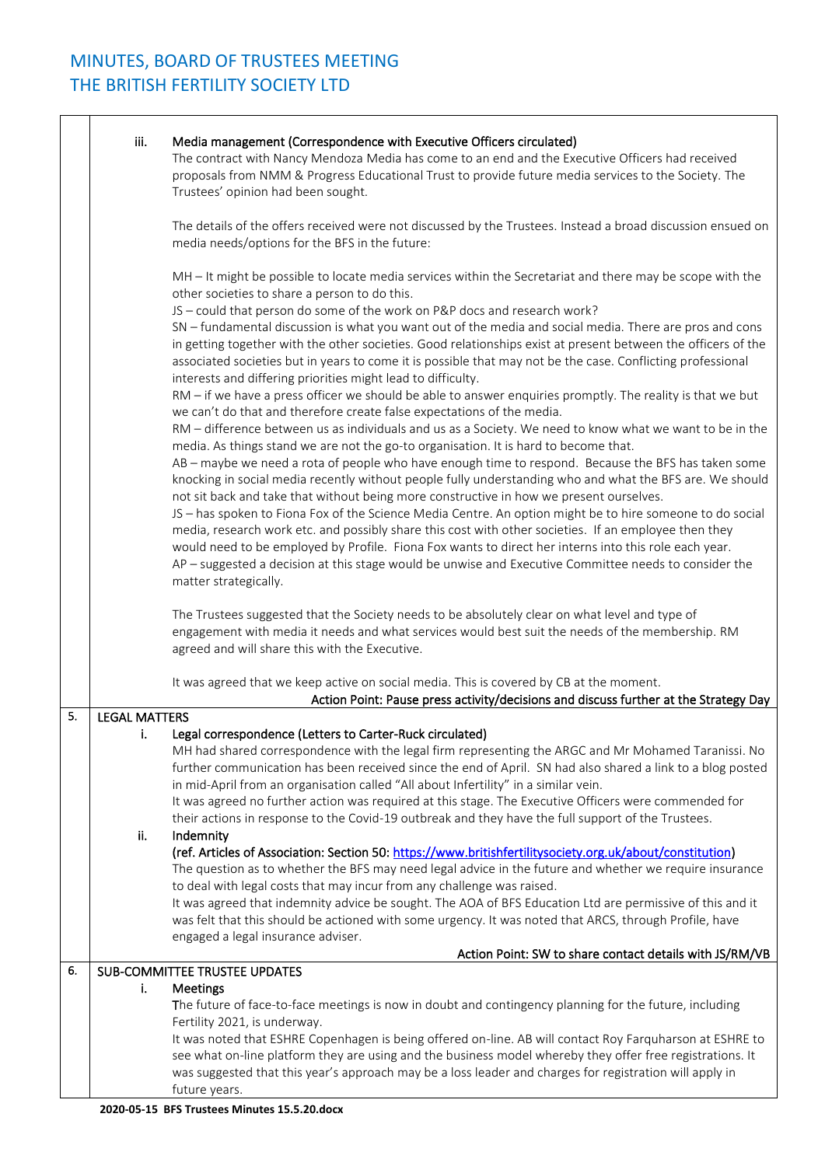|    | iii.                 | Media management (Correspondence with Executive Officers circulated)<br>The contract with Nancy Mendoza Media has come to an end and the Executive Officers had received<br>proposals from NMM & Progress Educational Trust to provide future media services to the Society. The<br>Trustees' opinion had been sought.                                                                                                                                                               |
|----|----------------------|--------------------------------------------------------------------------------------------------------------------------------------------------------------------------------------------------------------------------------------------------------------------------------------------------------------------------------------------------------------------------------------------------------------------------------------------------------------------------------------|
|    |                      | The details of the offers received were not discussed by the Trustees. Instead a broad discussion ensued on<br>media needs/options for the BFS in the future:                                                                                                                                                                                                                                                                                                                        |
|    |                      | MH - It might be possible to locate media services within the Secretariat and there may be scope with the<br>other societies to share a person to do this.                                                                                                                                                                                                                                                                                                                           |
|    |                      | JS - could that person do some of the work on P&P docs and research work?<br>SN - fundamental discussion is what you want out of the media and social media. There are pros and cons<br>in getting together with the other societies. Good relationships exist at present between the officers of the<br>associated societies but in years to come it is possible that may not be the case. Conflicting professional<br>interests and differing priorities might lead to difficulty. |
|    |                      | RM - if we have a press officer we should be able to answer enquiries promptly. The reality is that we but<br>we can't do that and therefore create false expectations of the media.<br>RM - difference between us as individuals and us as a Society. We need to know what we want to be in the                                                                                                                                                                                     |
|    |                      | media. As things stand we are not the go-to organisation. It is hard to become that.<br>AB - maybe we need a rota of people who have enough time to respond. Because the BFS has taken some<br>knocking in social media recently without people fully understanding who and what the BFS are. We should<br>not sit back and take that without being more constructive in how we present ourselves.                                                                                   |
|    |                      | JS - has spoken to Fiona Fox of the Science Media Centre. An option might be to hire someone to do social<br>media, research work etc. and possibly share this cost with other societies. If an employee then they<br>would need to be employed by Profile. Fiona Fox wants to direct her interns into this role each year.<br>AP - suggested a decision at this stage would be unwise and Executive Committee needs to consider the                                                 |
|    |                      | matter strategically.                                                                                                                                                                                                                                                                                                                                                                                                                                                                |
|    |                      | The Trustees suggested that the Society needs to be absolutely clear on what level and type of<br>engagement with media it needs and what services would best suit the needs of the membership. RM<br>agreed and will share this with the Executive.                                                                                                                                                                                                                                 |
|    |                      | It was agreed that we keep active on social media. This is covered by CB at the moment.<br>Action Point: Pause press activity/decisions and discuss further at the Strategy Day                                                                                                                                                                                                                                                                                                      |
| 5. | <b>LEGAL MATTERS</b> |                                                                                                                                                                                                                                                                                                                                                                                                                                                                                      |
|    | - i.                 | Legal correspondence (Letters to Carter-Ruck circulated)                                                                                                                                                                                                                                                                                                                                                                                                                             |
|    |                      |                                                                                                                                                                                                                                                                                                                                                                                                                                                                                      |
|    |                      | MH had shared correspondence with the legal firm representing the ARGC and Mr Mohamed Taranissi. No                                                                                                                                                                                                                                                                                                                                                                                  |
|    |                      | further communication has been received since the end of April. SN had also shared a link to a blog posted                                                                                                                                                                                                                                                                                                                                                                           |
|    |                      | in mid-April from an organisation called "All about Infertility" in a similar vein.                                                                                                                                                                                                                                                                                                                                                                                                  |
|    |                      | It was agreed no further action was required at this stage. The Executive Officers were commended for<br>their actions in response to the Covid-19 outbreak and they have the full support of the Trustees.                                                                                                                                                                                                                                                                          |
|    | ii.                  | Indemnity                                                                                                                                                                                                                                                                                                                                                                                                                                                                            |
|    |                      | (ref. Articles of Association: Section 50: https://www.britishfertilitysociety.org.uk/about/constitution)                                                                                                                                                                                                                                                                                                                                                                            |
|    |                      | The question as to whether the BFS may need legal advice in the future and whether we require insurance                                                                                                                                                                                                                                                                                                                                                                              |
|    |                      | to deal with legal costs that may incur from any challenge was raised.                                                                                                                                                                                                                                                                                                                                                                                                               |
|    |                      | It was agreed that indemnity advice be sought. The AOA of BFS Education Ltd are permissive of this and it<br>was felt that this should be actioned with some urgency. It was noted that ARCS, through Profile, have                                                                                                                                                                                                                                                                  |
|    |                      | engaged a legal insurance adviser.                                                                                                                                                                                                                                                                                                                                                                                                                                                   |
|    |                      | Action Point: SW to share contact details with JS/RM/VB                                                                                                                                                                                                                                                                                                                                                                                                                              |
| 6. |                      | SUB-COMMITTEE TRUSTEE UPDATES                                                                                                                                                                                                                                                                                                                                                                                                                                                        |
|    | i.                   | Meetings<br>The future of face-to-face meetings is now in doubt and contingency planning for the future, including                                                                                                                                                                                                                                                                                                                                                                   |
|    |                      | Fertility 2021, is underway.                                                                                                                                                                                                                                                                                                                                                                                                                                                         |
|    |                      | It was noted that ESHRE Copenhagen is being offered on-line. AB will contact Roy Farquharson at ESHRE to                                                                                                                                                                                                                                                                                                                                                                             |
|    |                      | see what on-line platform they are using and the business model whereby they offer free registrations. It                                                                                                                                                                                                                                                                                                                                                                            |
|    |                      | was suggested that this year's approach may be a loss leader and charges for registration will apply in                                                                                                                                                                                                                                                                                                                                                                              |
|    |                      | future years.                                                                                                                                                                                                                                                                                                                                                                                                                                                                        |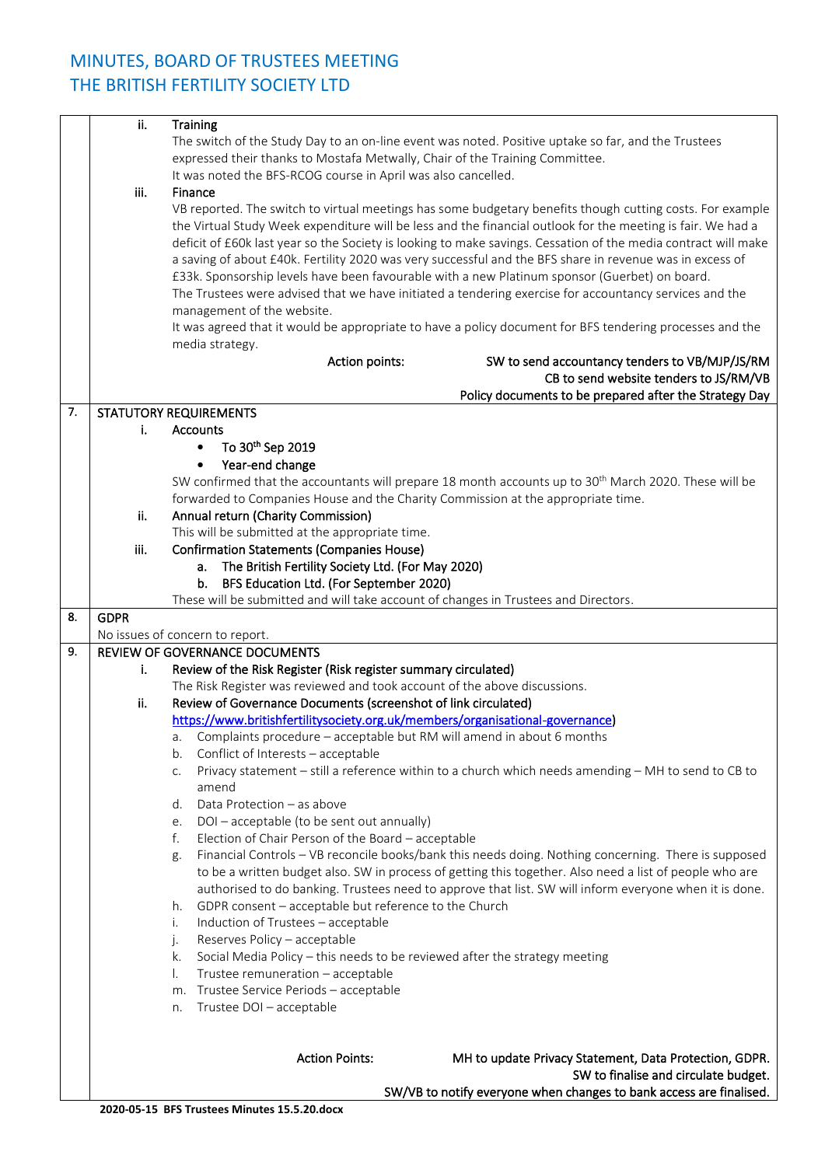## MINUTES, BOARD OF TRUSTEES MEETING THE BRITISH FERTILITY SOCIETY LTD

|    | ii.         | Training                                                                                                          |
|----|-------------|-------------------------------------------------------------------------------------------------------------------|
|    |             | The switch of the Study Day to an on-line event was noted. Positive uptake so far, and the Trustees               |
|    |             | expressed their thanks to Mostafa Metwally, Chair of the Training Committee.                                      |
|    |             |                                                                                                                   |
|    |             | It was noted the BFS-RCOG course in April was also cancelled.                                                     |
|    | iii.        | Finance                                                                                                           |
|    |             | VB reported. The switch to virtual meetings has some budgetary benefits though cutting costs. For example         |
|    |             | the Virtual Study Week expenditure will be less and the financial outlook for the meeting is fair. We had a       |
|    |             | deficit of £60k last year so the Society is looking to make savings. Cessation of the media contract will make    |
|    |             | a saving of about £40k. Fertility 2020 was very successful and the BFS share in revenue was in excess of          |
|    |             | £33k. Sponsorship levels have been favourable with a new Platinum sponsor (Guerbet) on board.                     |
|    |             | The Trustees were advised that we have initiated a tendering exercise for accountancy services and the            |
|    |             | management of the website.                                                                                        |
|    |             | It was agreed that it would be appropriate to have a policy document for BFS tendering processes and the          |
|    |             |                                                                                                                   |
|    |             | media strategy.                                                                                                   |
|    |             | Action points:<br>SW to send accountancy tenders to VB/MJP/JS/RM                                                  |
|    |             | CB to send website tenders to JS/RM/VB                                                                            |
|    |             | Policy documents to be prepared after the Strategy Day                                                            |
| 7. |             | <b>STATUTORY REQUIREMENTS</b>                                                                                     |
|    | i.          | <b>Accounts</b>                                                                                                   |
|    |             | To 30th Sep 2019<br>$\bullet$                                                                                     |
|    |             | Year-end change<br>$\bullet$                                                                                      |
|    |             | SW confirmed that the accountants will prepare 18 month accounts up to 30 <sup>th</sup> March 2020. These will be |
|    |             | forwarded to Companies House and the Charity Commission at the appropriate time.                                  |
|    | ii.         | Annual return (Charity Commission)                                                                                |
|    |             | This will be submitted at the appropriate time.                                                                   |
|    | iii.        | <b>Confirmation Statements (Companies House)</b>                                                                  |
|    |             |                                                                                                                   |
|    |             | a. The British Fertility Society Ltd. (For May 2020)                                                              |
|    |             | BFS Education Ltd. (For September 2020)<br>b.                                                                     |
|    |             | These will be submitted and will take account of changes in Trustees and Directors.                               |
| 8. | <b>GDPR</b> |                                                                                                                   |
|    |             | No issues of concern to report.                                                                                   |
| 9. |             | REVIEW OF GOVERNANCE DOCUMENTS                                                                                    |
|    | i.          | Review of the Risk Register (Risk register summary circulated)                                                    |
|    |             |                                                                                                                   |
|    | ii.         | The Risk Register was reviewed and took account of the above discussions.                                         |
|    |             | Review of Governance Documents (screenshot of link circulated)                                                    |
|    |             | https://www.britishfertilitysociety.org.uk/members/organisational-governance)                                     |
|    |             | Complaints procedure - acceptable but RM will amend in about 6 months<br>а.                                       |
|    |             | b.                                                                                                                |
|    |             | Conflict of Interests - acceptable                                                                                |
|    |             | Privacy statement - still a reference within to a church which needs amending - MH to send to CB to<br>C.         |
|    |             | amend                                                                                                             |
|    |             | Data Protection - as above<br>d.                                                                                  |
|    |             | DOI-acceptable (to be sent out annually)<br>e.                                                                    |
|    |             | Election of Chair Person of the Board - acceptable<br>f.                                                          |
|    |             | Financial Controls - VB reconcile books/bank this needs doing. Nothing concerning. There is supposed<br>g.        |
|    |             | to be a written budget also. SW in process of getting this together. Also need a list of people who are           |
|    |             | authorised to do banking. Trustees need to approve that list. SW will inform everyone when it is done.            |
|    |             | GDPR consent - acceptable but reference to the Church<br>h.                                                       |
|    |             | Induction of Trustees - acceptable<br>i.                                                                          |
|    |             | Reserves Policy - acceptable<br>j.                                                                                |
|    |             | Social Media Policy - this needs to be reviewed after the strategy meeting<br>k.                                  |
|    |             | Trustee remuneration - acceptable<br>I.                                                                           |
|    |             | Trustee Service Periods - acceptable<br>m.                                                                        |
|    |             | Trustee DOI - acceptable<br>n.                                                                                    |
|    |             |                                                                                                                   |
|    |             |                                                                                                                   |
|    |             | <b>Action Points:</b>                                                                                             |
|    |             | MH to update Privacy Statement, Data Protection, GDPR.                                                            |
|    |             | SW to finalise and circulate budget.<br>SW/VB to notify everyone when changes to bank access are finalised.       |